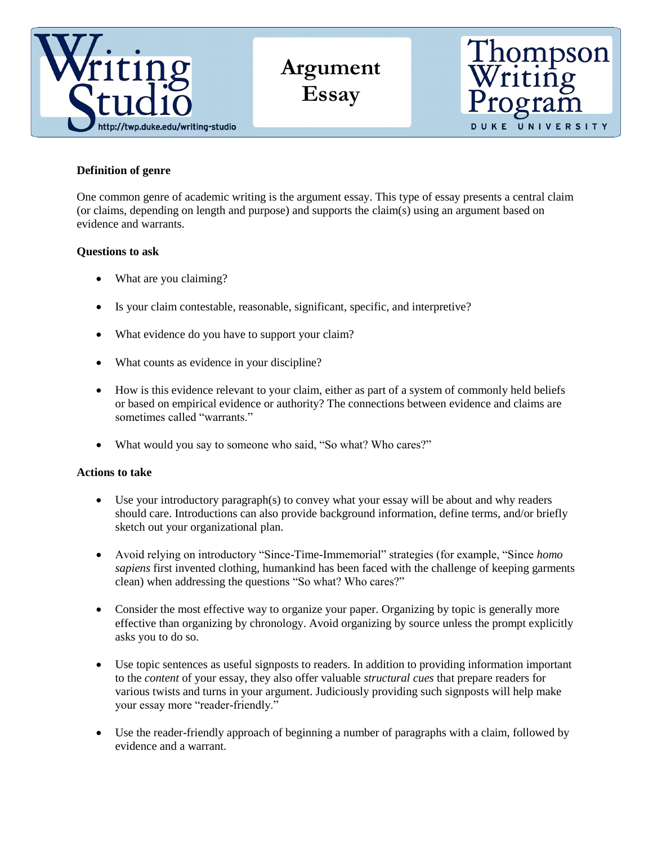

**Argument Essay**



## **Definition of genre**

One common genre of academic writing is the argument essay. This type of essay presents a central claim (or claims, depending on length and purpose) and supports the claim(s) using an argument based on evidence and warrants.

## **Questions to ask**

- What are you claiming?
- Is your claim contestable, reasonable, significant, specific, and interpretive?
- What evidence do you have to support your claim?
- What counts as evidence in your discipline?
- How is this evidence relevant to your claim, either as part of a system of commonly held beliefs or based on empirical evidence or authority? The connections between evidence and claims are sometimes called "warrants."
- What would you say to someone who said, "So what? Who cares?"

## **Actions to take**

- Use your introductory paragraph(s) to convey what your essay will be about and why readers should care. Introductions can also provide background information, define terms, and/or briefly sketch out your organizational plan.
- Avoid relying on introductory "Since-Time-Immemorial" strategies (for example, "Since *homo sapiens* first invented clothing, humankind has been faced with the challenge of keeping garments clean) when addressing the questions "So what? Who cares?"
- Consider the most effective way to organize your paper. Organizing by topic is generally more effective than organizing by chronology. Avoid organizing by source unless the prompt explicitly asks you to do so.
- Use topic sentences as useful signposts to readers. In addition to providing information important to the *content* of your essay, they also offer valuable *structural cues* that prepare readers for various twists and turns in your argument. Judiciously providing such signposts will help make your essay more "reader-friendly."
- Use the reader-friendly approach of beginning a number of paragraphs with a claim, followed by evidence and a warrant.